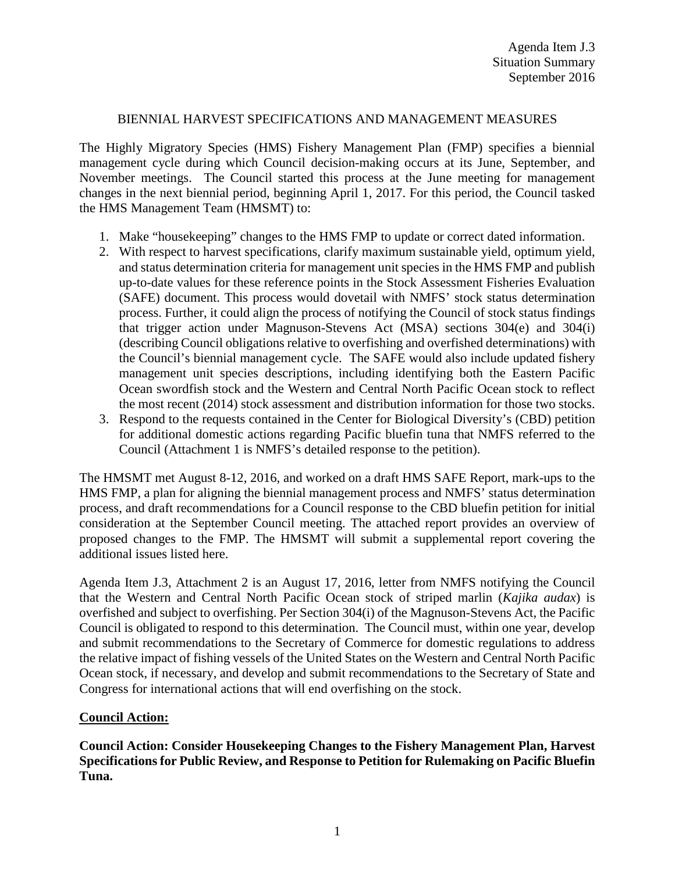## BIENNIAL HARVEST SPECIFICATIONS AND MANAGEMENT MEASURES

The Highly Migratory Species (HMS) Fishery Management Plan (FMP) specifies a biennial management cycle during which Council decision-making occurs at its June, September, and November meetings. The Council started this process at the June meeting for management changes in the next biennial period, beginning April 1, 2017. For this period, the Council tasked the HMS Management Team (HMSMT) to:

- 1. Make "housekeeping" changes to the HMS FMP to update or correct dated information.
- 2. With respect to harvest specifications, clarify maximum sustainable yield, optimum yield, and status determination criteria for management unit species in the HMS FMP and publish up-to-date values for these reference points in the Stock Assessment Fisheries Evaluation (SAFE) document. This process would dovetail with NMFS' stock status determination process. Further, it could align the process of notifying the Council of stock status findings that trigger action under Magnuson-Stevens Act (MSA) sections 304(e) and 304(i) (describing Council obligations relative to overfishing and overfished determinations) with the Council's biennial management cycle. The SAFE would also include updated fishery management unit species descriptions, including identifying both the Eastern Pacific Ocean swordfish stock and the Western and Central North Pacific Ocean stock to reflect the most recent (2014) stock assessment and distribution information for those two stocks.
- 3. Respond to the requests contained in the Center for Biological Diversity's (CBD) petition for additional domestic actions regarding Pacific bluefin tuna that NMFS referred to the Council (Attachment 1 is NMFS's detailed response to the petition).

The HMSMT met August 8-12, 2016, and worked on a draft HMS SAFE Report, mark-ups to the HMS FMP, a plan for aligning the biennial management process and NMFS' status determination process, and draft recommendations for a Council response to the CBD bluefin petition for initial consideration at the September Council meeting. The attached report provides an overview of proposed changes to the FMP. The HMSMT will submit a supplemental report covering the additional issues listed here.

Agenda Item J.3, Attachment 2 is an August 17, 2016, letter from NMFS notifying the Council that the Western and Central North Pacific Ocean stock of striped marlin (*Kajika audax*) is overfished and subject to overfishing. Per Section 304(i) of the Magnuson-Stevens Act, the Pacific Council is obligated to respond to this determination. The Council must, within one year, develop and submit recommendations to the Secretary of Commerce for domestic regulations to address the relative impact of fishing vessels of the United States on the Western and Central North Pacific Ocean stock, if necessary, and develop and submit recommendations to the Secretary of State and Congress for international actions that will end overfishing on the stock.

## **Council Action:**

**Council Action: Consider Housekeeping Changes to the Fishery Management Plan, Harvest Specifications for Public Review, and Response to Petition for Rulemaking on Pacific Bluefin Tuna.**